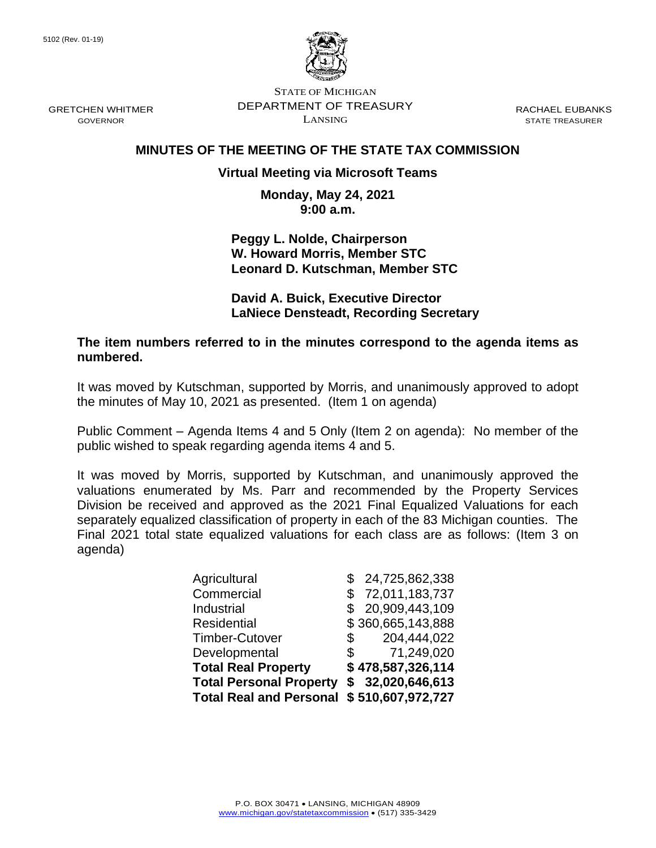

STATE OF MICHIGAN DEPARTMENT OF TREASURY LANSING

RACHAEL EUBANKS STATE TREASURER

# **MINUTES OF THE MEETING OF THE STATE TAX COMMISSION**

# **Virtual Meeting via Microsoft Teams**

**Monday, May 24, 2021 9:00 a.m.**

**Peggy L. Nolde, Chairperson W. Howard Morris, Member STC Leonard D. Kutschman, Member STC**

**David A. Buick, Executive Director LaNiece Densteadt, Recording Secretary**

**The item numbers referred to in the minutes correspond to the agenda items as numbered.**

It was moved by Kutschman, supported by Morris, and unanimously approved to adopt the minutes of May 10, 2021 as presented. (Item 1 on agenda)

Public Comment – Agenda Items 4 and 5 Only (Item 2 on agenda): No member of the public wished to speak regarding agenda items 4 and 5.

It was moved by Morris, supported by Kutschman, and unanimously approved the valuations enumerated by Ms. Parr and recommended by the Property Services Division be received and approved as the 2021 Final Equalized Valuations for each separately equalized classification of property in each of the 83 Michigan counties. The Final 2021 total state equalized valuations for each class are as follows: (Item 3 on agenda)

| Agricultural                   |    | \$24,725,862,338  |
|--------------------------------|----|-------------------|
| Commercial                     | S  | 72,011,183,737    |
| Industrial                     | £. | 20,909,443,109    |
| <b>Residential</b>             |    | \$360,665,143,888 |
| <b>Timber-Cutover</b>          | \$ | 204,444,022       |
| Developmental                  | \$ | 71,249,020        |
| <b>Total Real Property</b>     |    | \$478,587,326,114 |
| <b>Total Personal Property</b> |    | \$32,020,646,613  |
| <b>Total Real and Personal</b> |    | \$510,607,972,727 |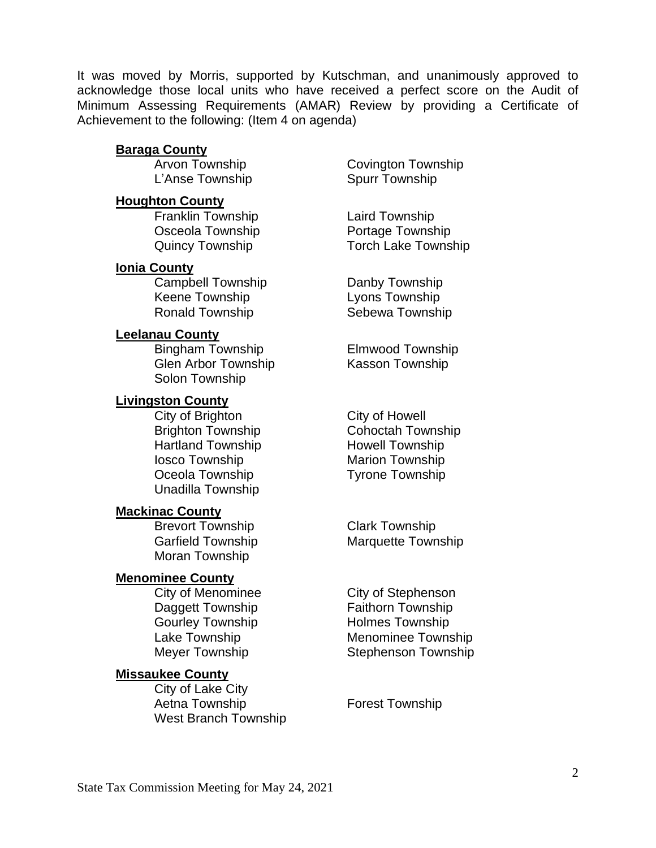It was moved by Morris, supported by Kutschman, and unanimously approved to acknowledge those local units who have received a perfect score on the Audit of Minimum Assessing Requirements (AMAR) Review by providing a Certificate of Achievement to the following: (Item 4 on agenda)

## **Baraga County**

L'Anse Township Spurr Township

## **Houghton County**

Franklin Township Laird Township

## **Ionia County**

Campbell Township **Danby Township** Keene Township **Lyons Township** Ronald Township Sebewa Township

# **Leelanau County**

Bingham Township Elmwood Township Glen Arbor Township Kasson Township Solon Township

## **Livingston County**

City of Brighton City of Howell Hartland Township Howell Township **Iosco Township Marion Township** Oceola Township Tyrone Township Unadilla Township

#### **Mackinac County**

Brevort Township Clark Township Moran Township

# **Menominee County**

Gourley Township **Holmes Township** 

# **Missaukee County**

City of Lake City Aetna Township Forest Township West Branch Township

Arvon Township Covington Township

Osceola Township **Portage Township** Quincy Township Torch Lake Township

Brighton Township Cohoctah Township

Garfield Township Marquette Township

City of Menominee City of Stephenson Daggett Township Faithorn Township Lake Township **Menominee Township** Meyer Township Stephenson Township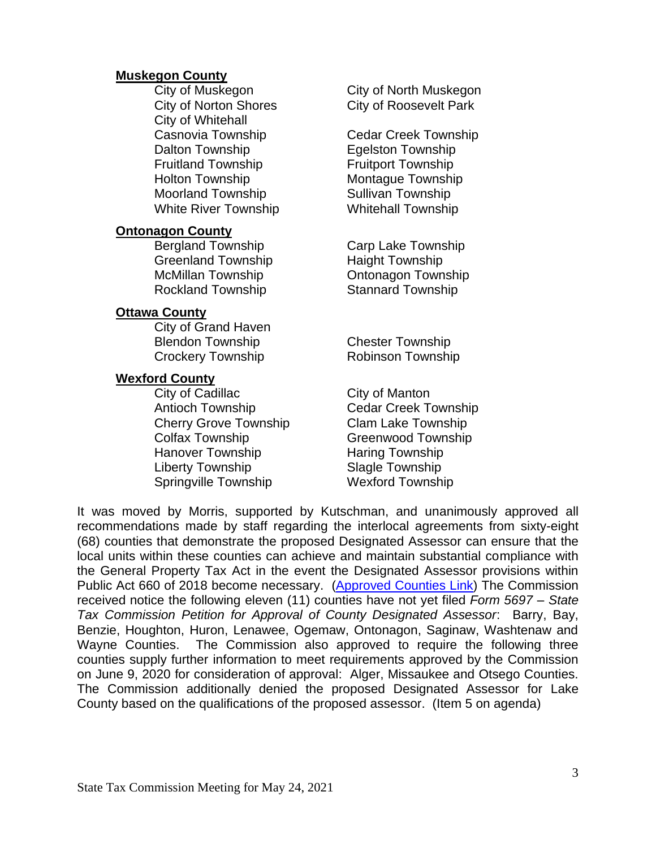#### **Muskegon County**

City of Whitehall Dalton Township **Egelston Township** Fruitland Township Fruitport Township Holton Township Montague Township Moorland Township Sullivan Township White River Township Whitehall Township

#### **Ontonagon County**

Greenland Township Haight Township Rockland Township **Stannard Township** 

#### **Ottawa County**

City of Grand Haven Blendon Township Chester Township Crockery Township Robinson Township

## **Wexford County**

City of Cadillac City of Manton Antioch Township Cedar Creek Township Cherry Grove Township Clam Lake Township Colfax Township Greenwood Township Hanover Township Haring Township Liberty Township Slagle Township Springville Township Wexford Township

City of Muskegon City of North Muskegon City of Norton Shores City of Roosevelt Park

Casnovia Township Cedar Creek Township

Bergland Township Carp Lake Township McMillan Township Ontonagon Township

It was moved by Morris, supported by Kutschman, and unanimously approved all recommendations made by staff regarding the interlocal agreements from sixty-eight (68) counties that demonstrate the proposed Designated Assessor can ensure that the local units within these counties can achieve and maintain substantial compliance with the General Property Tax Act in the event the Designated Assessor provisions within Public Act 660 of 2018 become necessary. [\(Approved Counties Link\)](https://www.michigan.gov/documents/treasury/Designated_Assessor_Proposed_List_726245_7.pdf) The Commission received notice the following eleven (11) counties have not yet filed *Form 5697 – State Tax Commission Petition for Approval of County Designated Assessor*: Barry, Bay, Benzie, Houghton, Huron, Lenawee, Ogemaw, Ontonagon, Saginaw, Washtenaw and Wayne Counties. The Commission also approved to require the following three counties supply further information to meet requirements approved by the Commission on June 9, 2020 for consideration of approval: Alger, Missaukee and Otsego Counties. The Commission additionally denied the proposed Designated Assessor for Lake County based on the qualifications of the proposed assessor. (Item 5 on agenda)